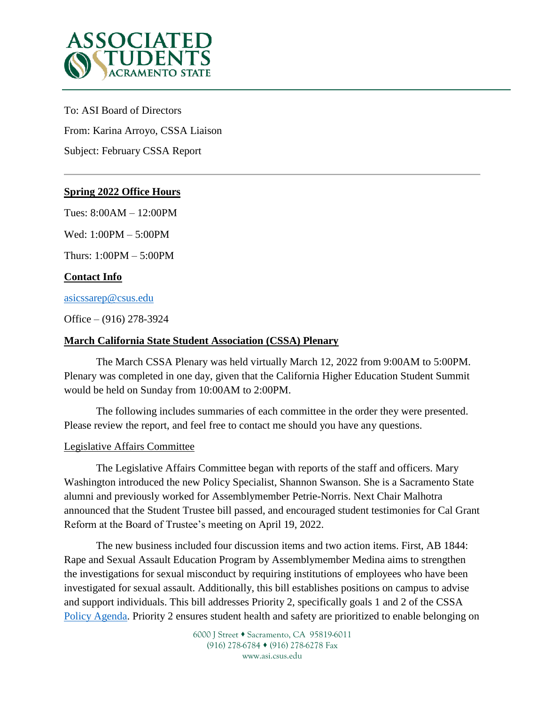

To: ASI Board of Directors

From: Karina Arroyo, CSSA Liaison

Subject: February CSSA Report

### **Spring 2022 Office Hours**

Tues: 8:00AM – 12:00PM

Wed: 1:00PM – 5:00PM

Thurs: 1:00PM – 5:00PM

# **Contact Info**

[asicssarep@csus.edu](mailto:asicssarep@csus.edu)

Office – (916) 278-3924

### **March California State Student Association (CSSA) Plenary**

The March CSSA Plenary was held virtually March 12, 2022 from 9:00AM to 5:00PM. Plenary was completed in one day, given that the California Higher Education Student Summit would be held on Sunday from 10:00AM to 2:00PM.

The following includes summaries of each committee in the order they were presented. Please review the report, and feel free to contact me should you have any questions.

### Legislative Affairs Committee

The Legislative Affairs Committee began with reports of the staff and officers. Mary Washington introduced the new Policy Specialist, Shannon Swanson. She is a Sacramento State alumni and previously worked for Assemblymember Petrie-Norris. Next Chair Malhotra announced that the Student Trustee bill passed, and encouraged student testimonies for Cal Grant Reform at the Board of Trustee's meeting on April 19, 2022.

The new business included four discussion items and two action items. First, AB 1844: Rape and Sexual Assault Education Program by Assemblymember Medina aims to strengthen the investigations for sexual misconduct by requiring institutions of employees who have been investigated for sexual assault. Additionally, this bill establishes positions on campus to advise and support individuals. This bill addresses Priority 2, specifically goals 1 and 2 of the CSSA [Policy Agenda.](https://calstatestudents.org/cssa-2021-2022-policy-agenda/) Priority 2 ensures student health and safety are prioritized to enable belonging on

> 6000 J Street • Sacramento, CA 95819-6011 (916) 278-6784 (916) 278-6278 Fax www.asi.csus.edu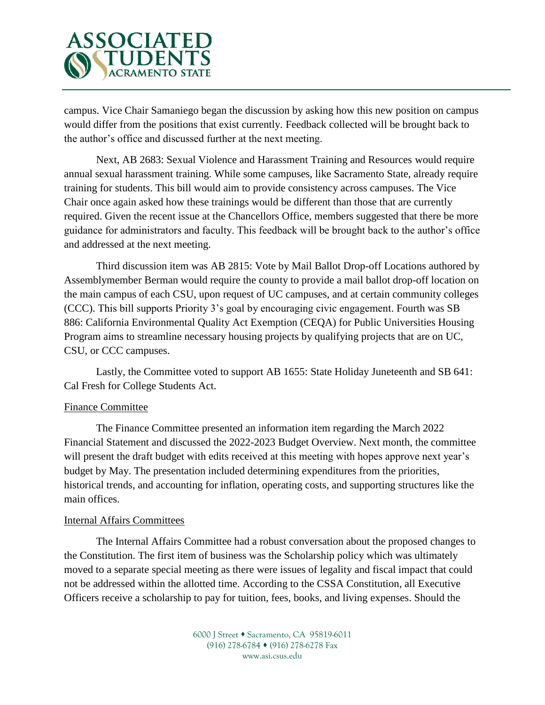

campus. Vice Chair Samaniego began the discussion by asking how this new position on campus would differ from the positions that exist currently. Feedback collected will be brought back to the author's office and discussed further at the next meeting.

Next, AB 2683: Sexual Violence and Harassment Training and Resources would require annual sexual harassment training. While some campuses, like Sacramento State, already require training for students. This bill would aim to provide consistency across campuses. The Vice Chair once again asked how these trainings would be different than those that are currently required. Given the recent issue at the Chancellors Office, members suggested that there be more guidance for administrators and faculty. This feedback will be brought back to the author's office and addressed at the next meeting.

Third discussion item was AB 2815: Vote by Mail Ballot Drop-off Locations authored by Assemblymember Berman would require the county to provide a mail ballot drop-off location on the main campus of each CSU, upon request of UC campuses, and at certain community colleges (CCC). This bill supports Priority 3's goal by encouraging civic engagement. Fourth was SB 886: California Environmental Quality Act Exemption (CEQA) for Public Universities Housing Program aims to streamline necessary housing projects by qualifying projects that are on UC, CSU, or CCC campuses.

Lastly, the Committee voted to support AB 1655: State Holiday Juneteenth and SB 641: Cal Fresh for College Students Act.

### Finance Committee

The Finance Committee presented an information item regarding the March 2022 Financial Statement and discussed the 2022-2023 Budget Overview. Next month, the committee will present the draft budget with edits received at this meeting with hopes approve next year's budget by May. The presentation included determining expenditures from the priorities, historical trends, and accounting for inflation, operating costs, and supporting structures like the main offices.

### Internal Affairs Committees

The Internal Affairs Committee had a robust conversation about the proposed changes to the Constitution. The first item of business was the Scholarship policy which was ultimately moved to a separate special meeting as there were issues of legality and fiscal impact that could not be addressed within the allotted time. According to the CSSA Constitution, all Executive Officers receive a scholarship to pay for tuition, fees, books, and living expenses. Should the

> 6000 J Street • Sacramento, CA 95819-6011 (916) 278-6784 (916) 278-6278 Fax www.asi.csus.edu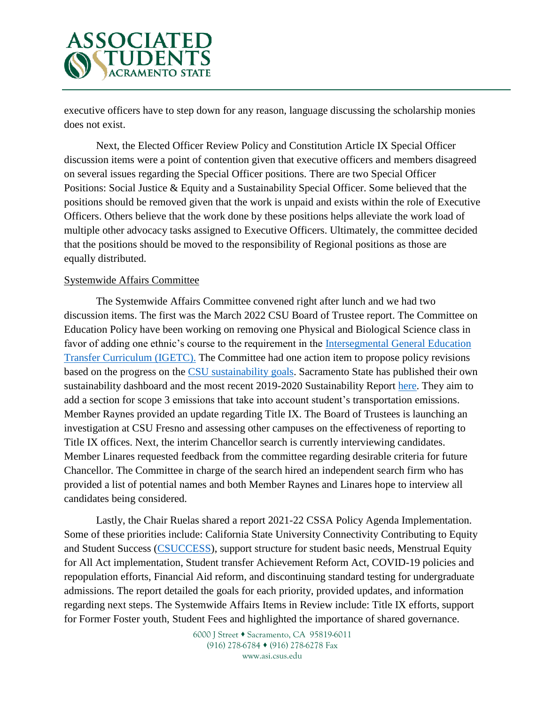

executive officers have to step down for any reason, language discussing the scholarship monies does not exist.

Next, the Elected Officer Review Policy and Constitution Article IX Special Officer discussion items were a point of contention given that executive officers and members disagreed on several issues regarding the Special Officer positions. There are two Special Officer Positions: Social Justice & Equity and a Sustainability Special Officer. Some believed that the positions should be removed given that the work is unpaid and exists within the role of Executive Officers. Others believe that the work done by these positions helps alleviate the work load of multiple other advocacy tasks assigned to Executive Officers. Ultimately, the committee decided that the positions should be moved to the responsibility of Regional positions as those are equally distributed.

### Systemwide Affairs Committee

The Systemwide Affairs Committee convened right after lunch and we had two discussion items. The first was the March 2022 CSU Board of Trustee report. The Committee on Education Policy have been working on removing one Physical and Biological Science class in favor of adding one ethnic's course to the requirement in the [Intersegmental General Education](https://www.calstate.edu/apply/transfer/Pages/upper-division-transfer.aspx#:~:text=The%20IGETC%20pattern%20requires%20completion,C%2D%20is%20not%20allowed).)  [Transfer Curriculum \(IGETC\).](https://www.calstate.edu/apply/transfer/Pages/upper-division-transfer.aspx#:~:text=The%20IGETC%20pattern%20requires%20completion,C%2D%20is%20not%20allowed).) The Committee had one action item to propose policy revisions based on the progress on the [CSU sustainability goals.](https://www.calstate.edu/impact-of-the-csu/sustainability) Sacramento State has published their own sustainability dashboard and the most recent 2019-2020 Sustainability Report [here.](https://www.csus.edu/experience/innovation-creativity/sustainability/) They aim to add a section for scope 3 emissions that take into account student's transportation emissions. Member Raynes provided an update regarding Title IX. The Board of Trustees is launching an investigation at CSU Fresno and assessing other campuses on the effectiveness of reporting to Title IX offices. Next, the interim Chancellor search is currently interviewing candidates. Member Linares requested feedback from the committee regarding desirable criteria for future Chancellor. The Committee in charge of the search hired an independent search firm who has provided a list of potential names and both Member Raynes and Linares hope to interview all candidates being considered.

Lastly, the Chair Ruelas shared a report 2021-22 CSSA Policy Agenda Implementation. Some of these priorities include: California State University Connectivity Contributing to Equity and Student Success [\(CSUCCESS\)](https://www.calstate.edu/impact-of-the-csu/student-success/CSUCCESS), support structure for student basic needs, Menstrual Equity for All Act implementation, Student transfer Achievement Reform Act, COVID-19 policies and repopulation efforts, Financial Aid reform, and discontinuing standard testing for undergraduate admissions. The report detailed the goals for each priority, provided updates, and information regarding next steps. The Systemwide Affairs Items in Review include: Title IX efforts, support for Former Foster youth, Student Fees and highlighted the importance of shared governance.

> 6000 J Street • Sacramento, CA 95819-6011 (916) 278-6784 (916) 278-6278 Fax www.asi.csus.edu